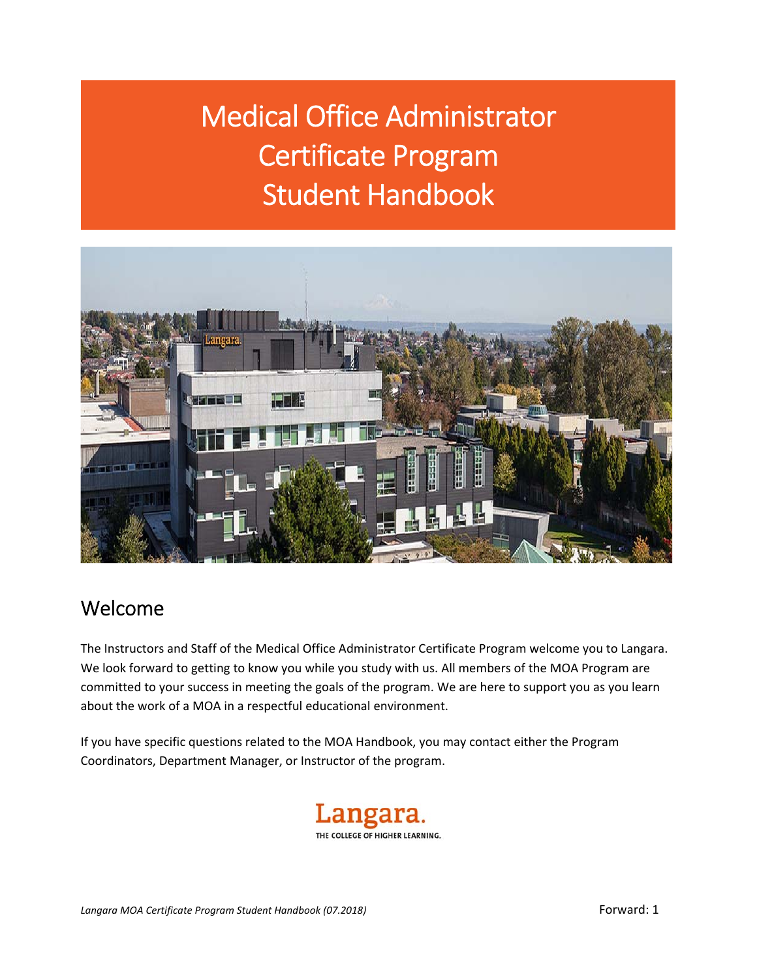Medical Office Administrator Certificate Program Student Handbook



# Welcome

The Instructors and Staff of the Medical Office Administrator Certificate Program welcome you to Langara. We look forward to getting to know you while you study with us. All members of the MOA Program are committed to your success in meeting the goals of the program. We are here to support you as you learn about the work of a MOA in a respectful educational environment.

If you have specific questions related to the MOA Handbook, you may contact either the Program Coordinators, Department Manager, or Instructor of the program.

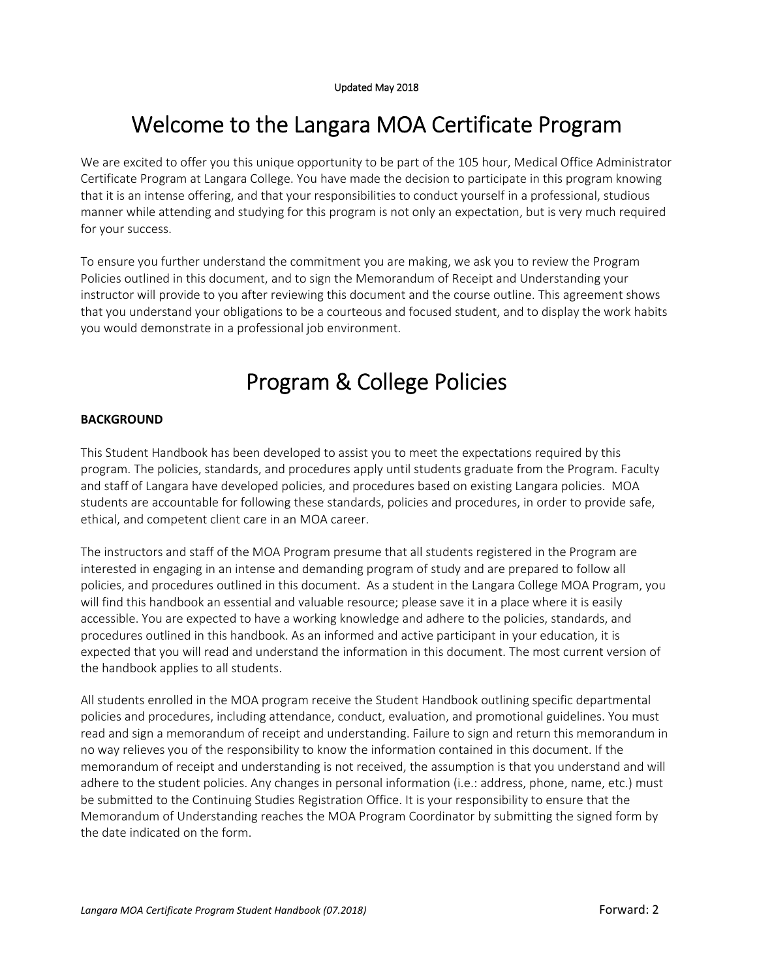# Welcome to the Langara MOA Certificate Program

We are excited to offer you this unique opportunity to be part of the 105 hour, Medical Office Administrator Certificate Program at Langara College. You have made the decision to participate in this program knowing that it is an intense offering, and that your responsibilities to conduct yourself in a professional, studious manner while attending and studying for this program is not only an expectation, but is very much required for your success.

To ensure you further understand the commitment you are making, we ask you to review the Program Policies outlined in this document, and to sign the Memorandum of Receipt and Understanding your instructor will provide to you after reviewing this document and the course outline. This agreement shows that you understand your obligations to be a courteous and focused student, and to display the work habits you would demonstrate in a professional job environment.

# Program & College Policies

## **BACKGROUND**

This Student Handbook has been developed to assist you to meet the expectations required by this program. The policies, standards, and procedures apply until students graduate from the Program. Faculty and staff of Langara have developed policies, and procedures based on existing Langara policies. MOA students are accountable for following these standards, policies and procedures, in order to provide safe, ethical, and competent client care in an MOA career.

The instructors and staff of the MOA Program presume that all students registered in the Program are interested in engaging in an intense and demanding program of study and are prepared to follow all policies, and procedures outlined in this document. As a student in the Langara College MOA Program, you will find this handbook an essential and valuable resource; please save it in a place where it is easily accessible. You are expected to have a working knowledge and adhere to the policies, standards, and procedures outlined in this handbook. As an informed and active participant in your education, it is expected that you will read and understand the information in this document. The most current version of the handbook applies to all students.

All students enrolled in the MOA program receive the Student Handbook outlining specific departmental policies and procedures, including attendance, conduct, evaluation, and promotional guidelines. You must read and sign a memorandum of receipt and understanding. Failure to sign and return this memorandum in no way relieves you of the responsibility to know the information contained in this document. If the memorandum of receipt and understanding is not received, the assumption is that you understand and will adhere to the student policies. Any changes in personal information (i.e.: address, phone, name, etc.) must be submitted to the Continuing Studies Registration Office. It is your responsibility to ensure that the Memorandum of Understanding reaches the MOA Program Coordinator by submitting the signed form by the date indicated on the form.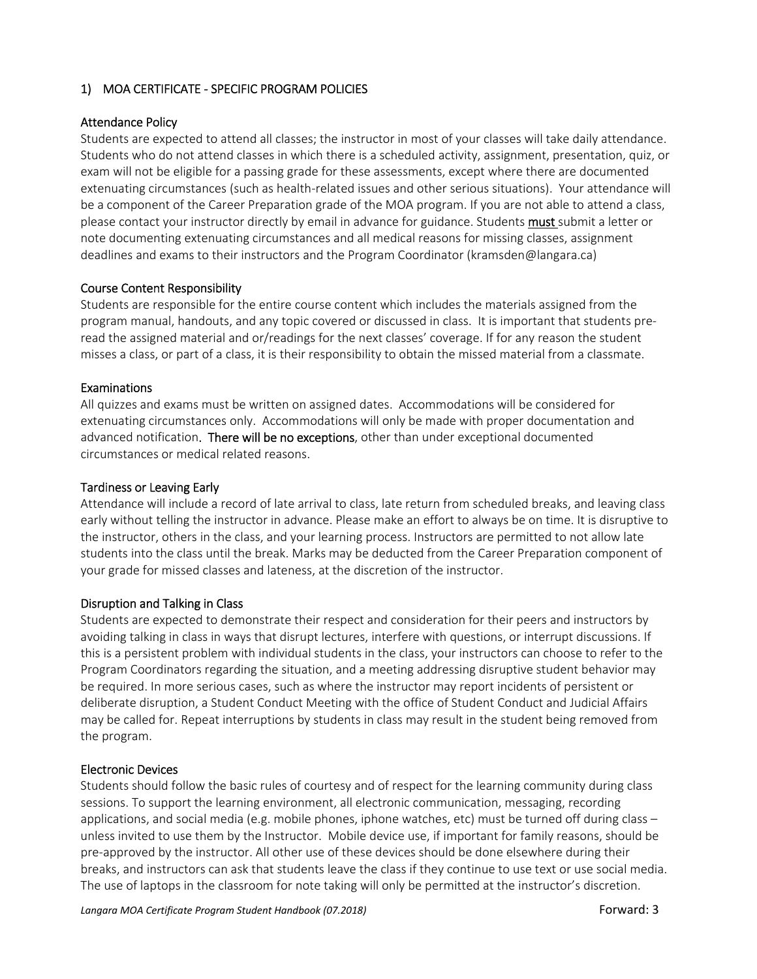## 1) MOA CERTIFICATE ‐ SPECIFIC PROGRAM POLICIES

### Attendance Policy

Students are expected to attend all classes; the instructor in most of your classes will take daily attendance. Students who do not attend classes in which there is a scheduled activity, assignment, presentation, quiz, or exam will not be eligible for a passing grade for these assessments, except where there are documented extenuating circumstances (such as health‐related issues and other serious situations). Your attendance will be a component of the Career Preparation grade of the MOA program. If you are not able to attend a class, please contact your instructor directly by email in advance for guidance. Students **must** submit a letter or note documenting extenuating circumstances and all medical reasons for missing classes, assignment deadlines and exams to their instructors and the Program Coordinator (kramsden@langara.ca)

## Course Content Responsibility

Students are responsible for the entire course content which includes the materials assigned from the program manual, handouts, and any topic covered or discussed in class. It is important that students pre‐ read the assigned material and or/readings for the next classes' coverage. If for any reason the student misses a class, or part of a class, it is their responsibility to obtain the missed material from a classmate.

### Examinations

All quizzes and exams must be written on assigned dates. Accommodations will be considered for extenuating circumstances only. Accommodations will only be made with proper documentation and advanced notification. There will be no exceptions, other than under exceptional documented circumstances or medical related reasons.

### Tardiness or Leaving Early

Attendance will include a record of late arrival to class, late return from scheduled breaks, and leaving class early without telling the instructor in advance. Please make an effort to always be on time. It is disruptive to the instructor, others in the class, and your learning process. Instructors are permitted to not allow late students into the class until the break. Marks may be deducted from the Career Preparation component of your grade for missed classes and lateness, at the discretion of the instructor.

### Disruption and Talking in Class

Students are expected to demonstrate their respect and consideration for their peers and instructors by avoiding talking in class in ways that disrupt lectures, interfere with questions, or interrupt discussions. If this is a persistent problem with individual students in the class, your instructors can choose to refer to the Program Coordinators regarding the situation, and a meeting addressing disruptive student behavior may be required. In more serious cases, such as where the instructor may report incidents of persistent or deliberate disruption, a Student Conduct Meeting with the office of Student Conduct and Judicial Affairs may be called for. Repeat interruptions by students in class may result in the student being removed from the program.

### Electronic Devices

Students should follow the basic rules of courtesy and of respect for the learning community during class sessions. To support the learning environment, all electronic communication, messaging, recording applications, and social media (e.g. mobile phones, iphone watches, etc) must be turned off during class – unless invited to use them by the Instructor. Mobile device use, if important for family reasons, should be pre‐approved by the instructor. All other use of these devices should be done elsewhere during their breaks, and instructors can ask that students leave the class if they continue to use text or use social media. The use of laptops in the classroom for note taking will only be permitted at the instructor's discretion.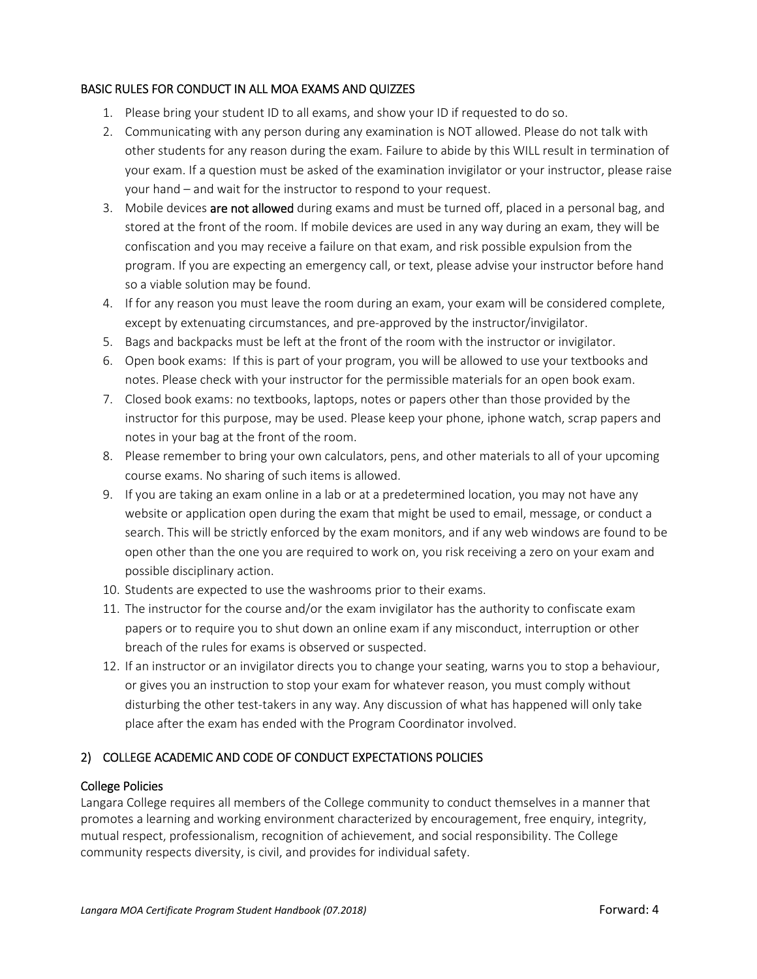## BASIC RULES FOR CONDUCT IN ALL MOA EXAMS AND QUIZZES

- 1. Please bring your student ID to all exams, and show your ID if requested to do so.
- 2. Communicating with any person during any examination is NOT allowed. Please do not talk with other students for any reason during the exam. Failure to abide by this WILL result in termination of your exam. If a question must be asked of the examination invigilator or your instructor, please raise your hand – and wait for the instructor to respond to your request.
- 3. Mobile devices are not allowed during exams and must be turned off, placed in a personal bag, and stored at the front of the room. If mobile devices are used in any way during an exam, they will be confiscation and you may receive a failure on that exam, and risk possible expulsion from the program. If you are expecting an emergency call, or text, please advise your instructor before hand so a viable solution may be found.
- 4. If for any reason you must leave the room during an exam, your exam will be considered complete, except by extenuating circumstances, and pre-approved by the instructor/invigilator.
- 5. Bags and backpacks must be left at the front of the room with the instructor or invigilator.
- 6. Open book exams: If this is part of your program, you will be allowed to use your textbooks and notes. Please check with your instructor for the permissible materials for an open book exam.
- 7. Closed book exams: no textbooks, laptops, notes or papers other than those provided by the instructor for this purpose, may be used. Please keep your phone, iphone watch, scrap papers and notes in your bag at the front of the room.
- 8. Please remember to bring your own calculators, pens, and other materials to all of your upcoming course exams. No sharing of such items is allowed.
- 9. If you are taking an exam online in a lab or at a predetermined location, you may not have any website or application open during the exam that might be used to email, message, or conduct a search. This will be strictly enforced by the exam monitors, and if any web windows are found to be open other than the one you are required to work on, you risk receiving a zero on your exam and possible disciplinary action.
- 10. Students are expected to use the washrooms prior to their exams.
- 11. The instructor for the course and/or the exam invigilator has the authority to confiscate exam papers or to require you to shut down an online exam if any misconduct, interruption or other breach of the rules for exams is observed or suspected.
- 12. If an instructor or an invigilator directs you to change your seating, warns you to stop a behaviour, or gives you an instruction to stop your exam for whatever reason, you must comply without disturbing the other test‐takers in any way. Any discussion of what has happened will only take place after the exam has ended with the Program Coordinator involved.

## 2) COLLEGE ACADEMIC AND CODE OF CONDUCT EXPECTATIONS POLICIES

## College Policies

Langara College requires all members of the College community to conduct themselves in a manner that promotes a learning and working environment characterized by encouragement, free enquiry, integrity, mutual respect, professionalism, recognition of achievement, and social responsibility. The College community respects diversity, is civil, and provides for individual safety.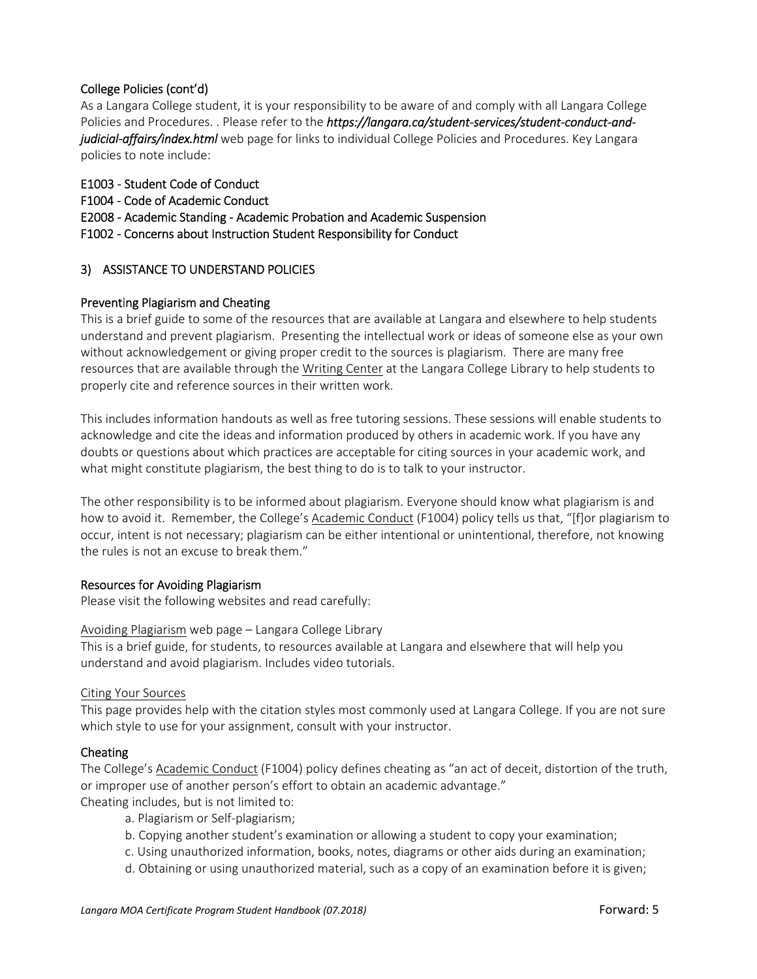## College Policies (cont'd)

As a Langara College student, it is your responsibility to be aware of and comply with all Langara College Policies and Procedures. . Please refer to the *https://langara.ca/student‐services/student‐conduct‐and‐ judicial‐affairs/index.html* web page for links to individual College Policies and Procedures. Key Langara policies to note include:

## E1003 ‐ Student Code of Conduct

- F1004 ‐ Code of Academic Conduct
- E2008 ‐ Academic Standing ‐ Academic Probation and Academic Suspension
- F1002 Concerns about Instruction Student Responsibility for Conduct

### 3) ASSISTANCE TO UNDERSTAND POLICIES

### Preventing Plagiarism and Cheating

This is a brief guide to some of the resources that are available at Langara and elsewhere to help students understand and prevent plagiarism. Presenting the intellectual work or ideas of someone else as your own without acknowledgement or giving proper credit to the sources is plagiarism. There are many free resources that are available through the Writing Center at the Langara College Library to help students to properly cite and reference sources in their written work.

This includes information handouts as well as free tutoring sessions. These sessions will enable students to acknowledge and cite the ideas and information produced by others in academic work. If you have any doubts or questions about which practices are acceptable for citing sources in your academic work, and what might constitute plagiarism, the best thing to do is to talk to your instructor.

The other responsibility is to be informed about plagiarism. Everyone should know what plagiarism is and how to avoid it. Remember, the College's Academic Conduct (F1004) policy tells us that, "[f]or plagiarism to occur, intent is not necessary; plagiarism can be either intentional or unintentional, therefore, not knowing the rules is not an excuse to break them."

### Resources for Avoiding Plagiarism

Please visit the following websites and read carefully:

Avoiding Plagiarism web page – Langara College Library

This is a brief guide, for students, to resources available at Langara and elsewhere that will help you understand and avoid plagiarism. Includes video tutorials.

### Citing Your Sources

This page provides help with the citation styles most commonly used at Langara College. If you are not sure which style to use for your assignment, consult with your instructor.

### Cheating

The College's Academic Conduct (F1004) policy defines cheating as "an act of deceit, distortion of the truth, or improper use of another person's effort to obtain an academic advantage." Cheating includes, but is not limited to:

- a. Plagiarism or Self‐plagiarism;
	- b. Copying another student's examination or allowing a student to copy your examination;
	- c. Using unauthorized information, books, notes, diagrams or other aids during an examination;
	- d. Obtaining or using unauthorized material, such as a copy of an examination before it is given;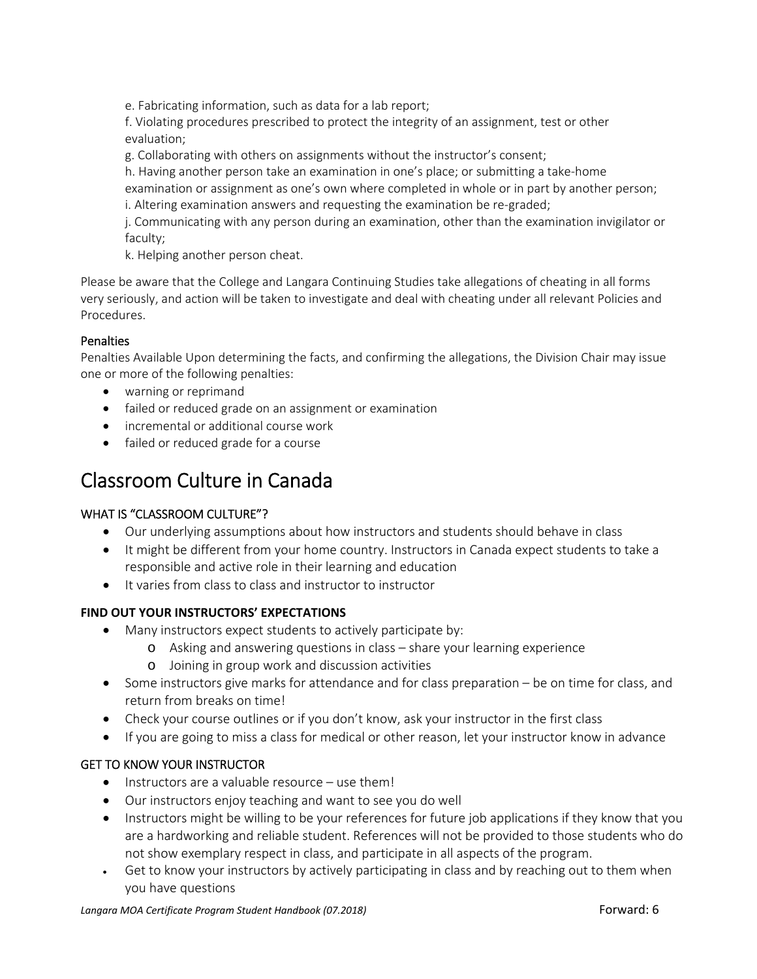e. Fabricating information, such as data for a lab report;

f. Violating procedures prescribed to protect the integrity of an assignment, test or other evaluation;

g. Collaborating with others on assignments without the instructor's consent;

h. Having another person take an examination in one's place; or submitting a take-home examination or assignment as one's own where completed in whole or in part by another person;

i. Altering examination answers and requesting the examination be re‐graded;

j. Communicating with any person during an examination, other than the examination invigilator or faculty;

k. Helping another person cheat.

Please be aware that the College and Langara Continuing Studies take allegations of cheating in all forms very seriously, and action will be taken to investigate and deal with cheating under all relevant Policies and Procedures.

## **Penalties**

Penalties Available Upon determining the facts, and confirming the allegations, the Division Chair may issue one or more of the following penalties:

- warning or reprimand
- failed or reduced grade on an assignment or examination
- incremental or additional course work
- failed or reduced grade for a course

# Classroom Culture in Canada

## WHAT IS "CLASSROOM CULTURE"?

- Our underlying assumptions about how instructors and students should behave in class
- It might be different from your home country. Instructors in Canada expect students to take a responsible and active role in their learning and education
- It varies from class to class and instructor to instructor

## **FIND OUT YOUR INSTRUCTORS' EXPECTATIONS**

- Many instructors expect students to actively participate by:
	- o Asking and answering questions in class share your learning experience
	- o Joining in group work and discussion activities
- Some instructors give marks for attendance and for class preparation be on time for class, and return from breaks on time!
- Check your course outlines or if you don't know, ask your instructor in the first class
- If you are going to miss a class for medical or other reason, let your instructor know in advance

## GET TO KNOW YOUR INSTRUCTOR

- $\bullet$  Instructors are a valuable resource use them!
- Our instructors enjoy teaching and want to see you do well
- Instructors might be willing to be your references for future job applications if they know that you are a hardworking and reliable student. References will not be provided to those students who do not show exemplary respect in class, and participate in all aspects of the program.
- Get to know your instructors by actively participating in class and by reaching out to them when you have questions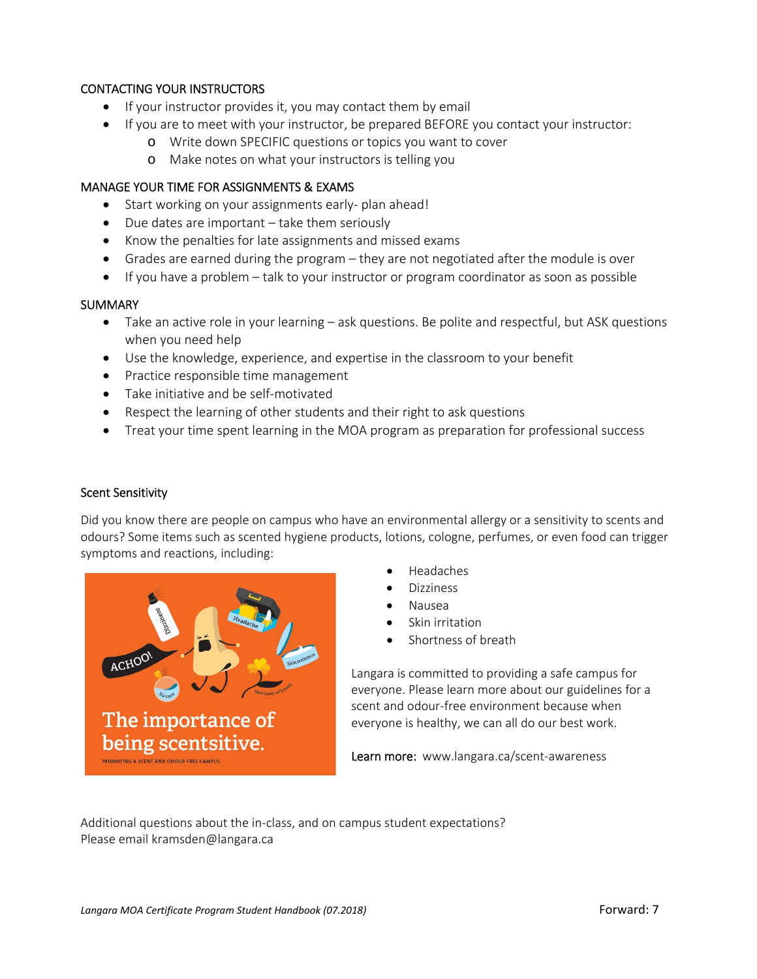## CONTACTING YOUR INSTRUCTORS

- $\bullet$  If your instructor provides it, you may contact them by email
- If you are to meet with your instructor, be prepared BEFORE you contact your instructor:
	- o Write down SPECIFIC questions or topics you want to cover
	- o Make notes on what your instructors is telling you

### MANAGE YOUR TIME FOR ASSIGNMENTS & EXAMS

- Start working on your assignments early- plan ahead!
- Due dates are important take them seriously
- Know the penalties for late assignments and missed exams
- Grades are earned during the program they are not negotiated after the module is over
- If you have a problem talk to your instructor or program coordinator as soon as possible

### **SUMMARY**

- Take an active role in your learning ask questions. Be polite and respectful, but ASK questions when you need help
- Use the knowledge, experience, and expertise in the classroom to your benefit
- Practice responsible time management
- Take initiative and be self-motivated
- Respect the learning of other students and their right to ask questions
- Treat your time spent learning in the MOA program as preparation for professional success

### Scent Sensitivity

Did you know there are people on campus who have an environmental allergy or a sensitivity to scents and odours? Some items such as scented hygiene products, lotions, cologne, perfumes, or even food can trigger symptoms and reactions, including:



- Headaches
- Dizziness
- Nausea
- Skin irritation
- Shortness of breath

Langara is committed to providing a safe campus for everyone. Please learn more about our guidelines for a scent and odour‐free environment because when everyone is healthy, we can all do our best work.

Learn more: www.langara.ca/scent-awareness

Additional questions about the in‐class, and on campus student expectations? Please email kramsden@langara.ca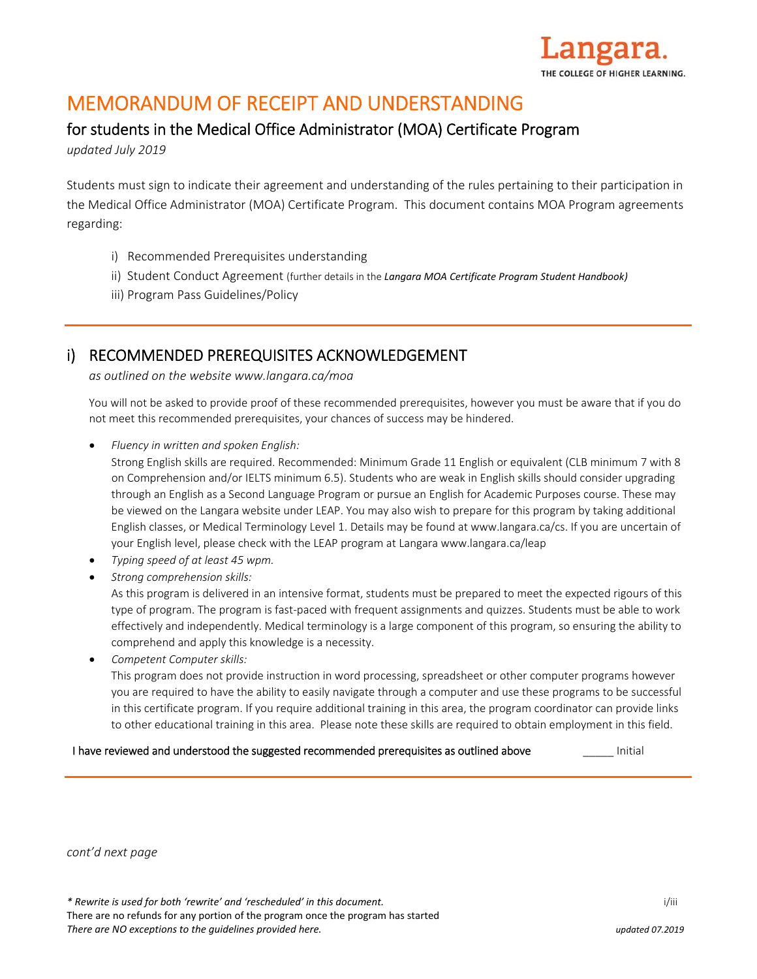

# MEMORANDUM OF RECEIPT AND UNDERSTANDING

# for students in the Medical Office Administrator (MOA) Certificate Program

*updated July 2019* 

Students must sign to indicate their agreement and understanding of the rules pertaining to their participation in the Medical Office Administrator (MOA) Certificate Program. This document contains MOA Program agreements regarding:

- i) Recommended Prerequisites understanding
- ii) Student Conduct Agreement (further details in the *Langara MOA Certificate Program Student Handbook)*
- iii) Program Pass Guidelines/Policy

# i) RECOMMENDED PREREQUISITES ACKNOWLEDGEMENT

*as outlined on the website www.langara.ca/moa*

You will not be asked to provide proof of these recommended prerequisites, however you must be aware that if you do not meet this recommended prerequisites, your chances of success may be hindered.

*Fluency in written and spoken English:*

Strong English skills are required. Recommended: Minimum Grade 11 English or equivalent (CLB minimum 7 with 8 on Comprehension and/or IELTS minimum 6.5). Students who are weak in English skills should consider upgrading through an English as a Second Language Program or pursue an English for Academic Purposes course. These may be viewed on the Langara website under LEAP. You may also wish to prepare for this program by taking additional English classes, or Medical Terminology Level 1. Details may be found at www.langara.ca/cs. If you are uncertain of your English level, please check with the LEAP program at Langara www.langara.ca/leap

- *Typing speed of at least 45 wpm.*
- *Strong comprehension skills:*

As this program is delivered in an intensive format, students must be prepared to meet the expected rigours of this type of program. The program is fast‐paced with frequent assignments and quizzes. Students must be able to work effectively and independently. Medical terminology is a large component of this program, so ensuring the ability to comprehend and apply this knowledge is a necessity.

*Competent Computer skills:*

This program does not provide instruction in word processing, spreadsheet or other computer programs however you are required to have the ability to easily navigate through a computer and use these programs to be successful in this certificate program. If you require additional training in this area, the program coordinator can provide links to other educational training in this area. Please note these skills are required to obtain employment in this field.

### I have reviewed and understood the suggested recommended prerequisites as outlined above **The Initial**

*cont'd next page*

*\* Rewrite is used for both 'rewrite' and 'rescheduled' in this document.* i/iii

There are no refunds for any portion of the program once the program has started *There are NO exceptions to the guidelines provided here. updated 07.2019*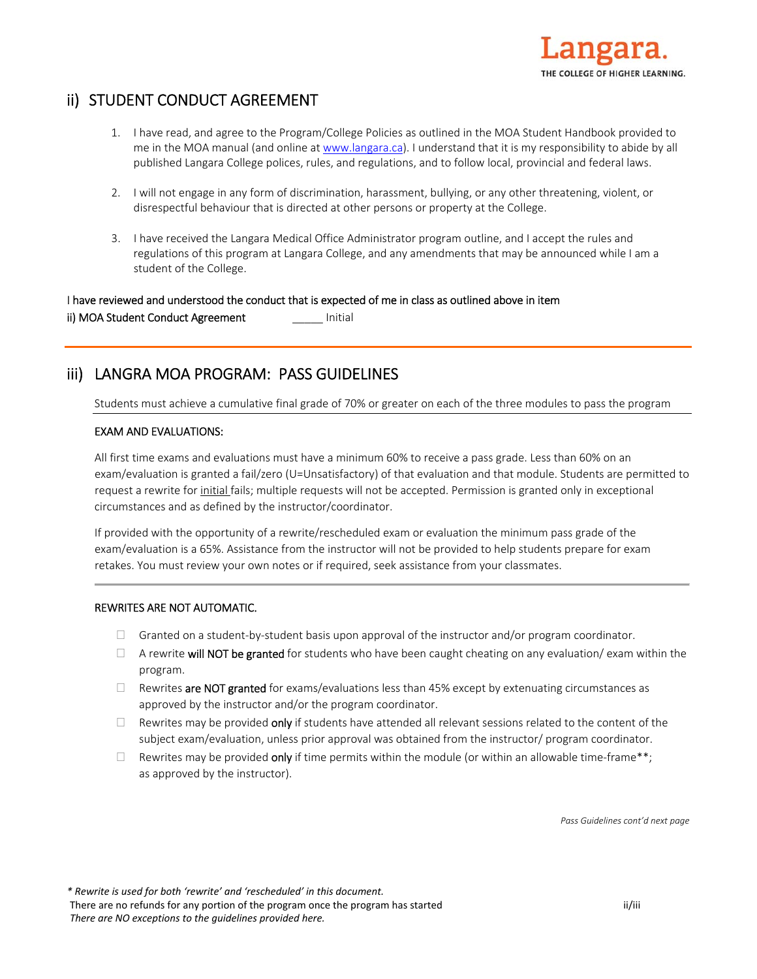

# ii) STUDENT CONDUCT AGREEMENT

- 1. I have read, and agree to the Program/College Policies as outlined in the MOA Student Handbook provided to me in the MOA manual (and online at www.langara.ca). I understand that it is my responsibility to abide by all published Langara College polices, rules, and regulations, and to follow local, provincial and federal laws.
- 2. I will not engage in any form of discrimination, harassment, bullying, or any other threatening, violent, or disrespectful behaviour that is directed at other persons or property at the College.
- 3. I have received the Langara Medical Office Administrator program outline, and I accept the rules and regulations of this program at Langara College, and any amendments that may be announced while I am a student of the College.

### I have reviewed and understood the conduct that is expected of me in class as outlined above in item

ii) MOA Student Conduct Agreement **Initial** 

# iii) LANGRA MOA PROGRAM: PASS GUIDELINES

Students must achieve a cumulative final grade of 70% or greater on each of the three modules to pass the program

### EXAM AND EVALUATIONS:

All first time exams and evaluations must have a minimum 60% to receive a pass grade. Less than 60% on an exam/evaluation is granted a fail/zero (U=Unsatisfactory) of that evaluation and that module. Students are permitted to request a rewrite for initial fails; multiple requests will not be accepted. Permission is granted only in exceptional circumstances and as defined by the instructor/coordinator.

If provided with the opportunity of a rewrite/rescheduled exam or evaluation the minimum pass grade of the exam/evaluation is a 65%. Assistance from the instructor will not be provided to help students prepare for exam retakes. You must review your own notes or if required, seek assistance from your classmates.

### REWRITES ARE NOT AUTOMATIC.

- $\Box$  Granted on a student-by-student basis upon approval of the instructor and/or program coordinator.
- $\Box$  A rewrite will NOT be granted for students who have been caught cheating on any evaluation/ exam within the program.
- $\Box$  Rewrites are NOT granted for exams/evaluations less than 45% except by extenuating circumstances as approved by the instructor and/or the program coordinator.
- $\Box$  Rewrites may be provided only if students have attended all relevant sessions related to the content of the subject exam/evaluation, unless prior approval was obtained from the instructor/ program coordinator.
- Rewrites may be provided only if time permits within the module (or within an allowable time-frame\*\*; as approved by the instructor).

*Pass Guidelines cont'd next page* 

*\* Rewrite is used for both 'rewrite' and 'rescheduled' in this document.* There are no refunds for any portion of the program once the program has started if it is a started ii/iii *There are NO exceptions to the guidelines provided here.*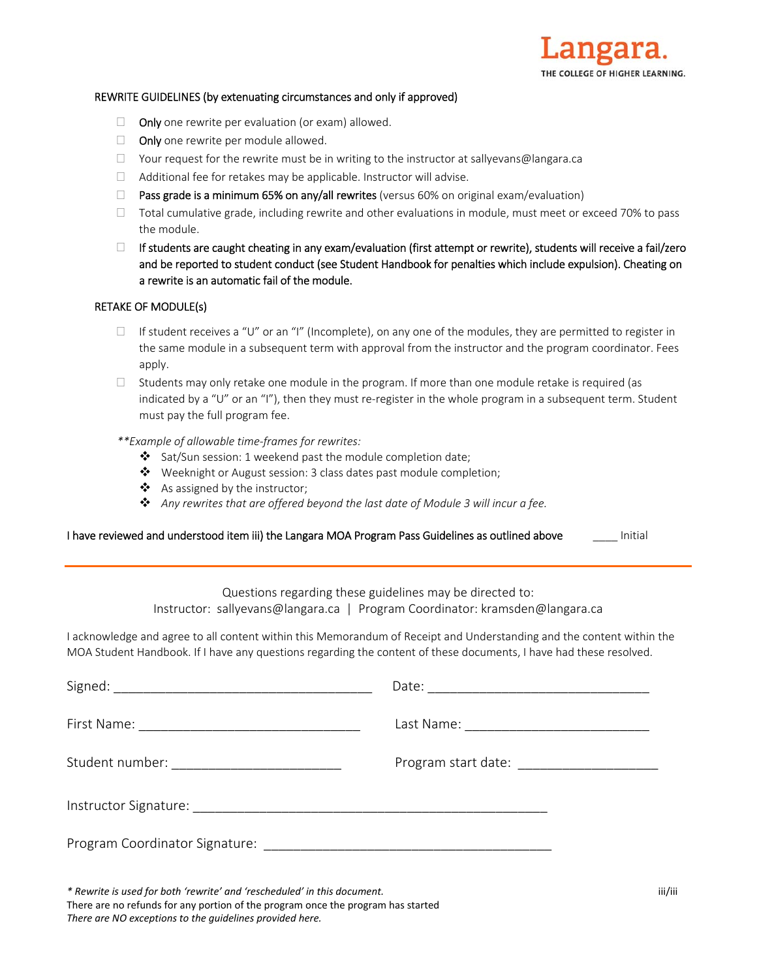

#### REWRITE GUIDELINES (by extenuating circumstances and only if approved)

- $\Box$  Only one rewrite per evaluation (or exam) allowed.
- $\Box$  Only one rewrite per module allowed.
- $\Box$  Your request for the rewrite must be in writing to the instructor at sallyevans@langara.ca
- $\Box$  Additional fee for retakes may be applicable. Instructor will advise.
- **Pass grade is a minimum 65% on any/all rewrites** (versus 60% on original exam/evaluation)
- $\Box$  Total cumulative grade, including rewrite and other evaluations in module, must meet or exceed 70% to pass the module.
- $\Box$  If students are caught cheating in any exam/evaluation (first attempt or rewrite), students will receive a fail/zero and be reported to student conduct (see Student Handbook for penalties which include expulsion). Cheating on a rewrite is an automatic fail of the module.

#### RETAKE OF MODULE(s)

- If student receives a "U" or an "I" (Incomplete), on any one of the modules, they are permitted to register in the same module in a subsequent term with approval from the instructor and the program coordinator. Fees apply.
- $\Box$  Students may only retake one module in the program. If more than one module retake is required (as indicated by a "U" or an "I"), then they must re-register in the whole program in a subsequent term. Student must pay the full program fee.

#### *\*\*Example of allowable time‐frames for rewrites:*

- $\cdot$  Sat/Sun session: 1 weekend past the module completion date;
- Weeknight or August session: 3 class dates past module completion;
- ❖ As assigned by the instructor;
- *Any rewrites that are offered beyond the last date of Module 3 will incur a fee.*

#### I have reviewed and understood item iii) the Langara MOA Program Pass Guidelines as outlined above **Initial**

Questions regarding these guidelines may be directed to: Instructor: sallyevans@langara.ca | Program Coordinator: kramsden@langara.ca

I acknowledge and agree to all content within this Memorandum of Receipt and Understanding and the content within the MOA Student Handbook. If I have any questions regarding the content of these documents, I have had these resolved.

| Student number: ____________________________ |  |
|----------------------------------------------|--|
|                                              |  |
|                                              |  |

*\* Rewrite is used for both 'rewrite' and 'rescheduled' in this document.* iii/iii There are no refunds for any portion of the program once the program has started *There are NO exceptions to the guidelines provided here.*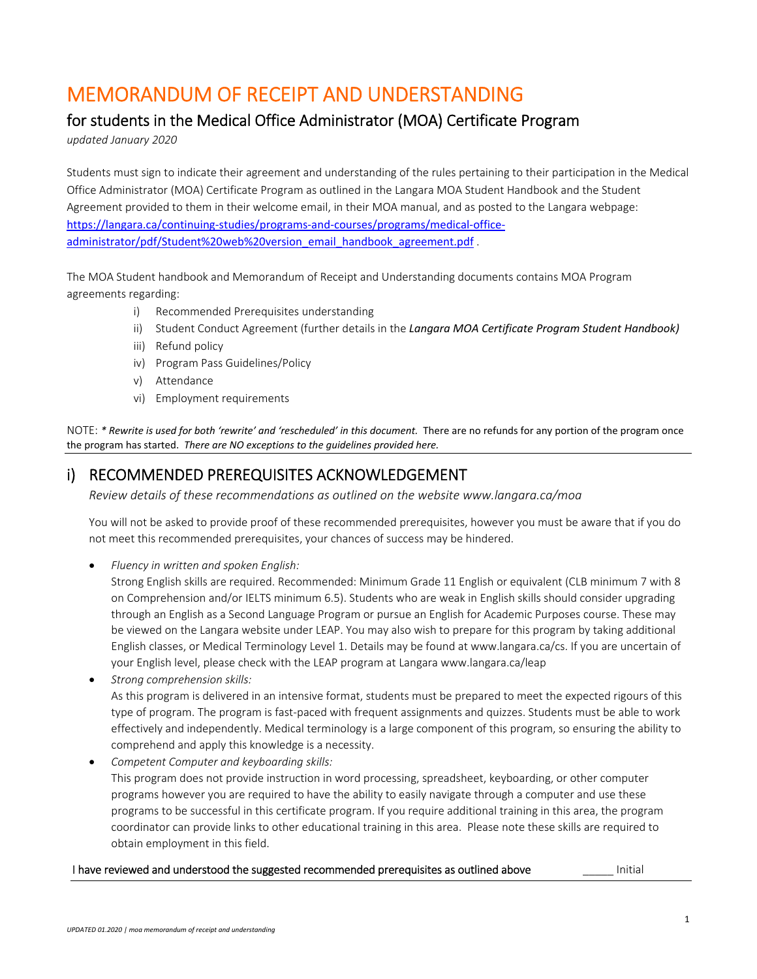# MEMORANDUM OF RECEIPT AND UNDERSTANDING

# for students in the Medical Office Administrator (MOA) Certificate Program

*updated January 2020* 

Students must sign to indicate their agreement and understanding of the rules pertaining to their participation in the Medical Office Administrator (MOA) Certificate Program as outlined in the Langara MOA Student Handbook and the Student Agreement provided to them in their welcome email, in their MOA manual, and as posted to the Langara webpage: https://langara.ca/continuing-studies/programs-and-courses/programs/medical-officeadministrator/pdf/Student%20web%20version\_email\_handbook\_agreement.pdf

The MOA Student handbook and Memorandum of Receipt and Understanding documents contains MOA Program agreements regarding:

- i) Recommended Prerequisites understanding
- ii) Student Conduct Agreement (further details in the *Langara MOA Certificate Program Student Handbook)*
- iii) Refund policy
- iv) Program Pass Guidelines/Policy
- v) Attendance
- vi) Employment requirements

NOTE: \* Rewrite is used for both 'rewrite' and 'rescheduled' in this document. There are no refunds for any portion of the program once the program has started. *There are NO exceptions to the guidelines provided here.* 

# i) RECOMMENDED PREREQUISITES ACKNOWLEDGEMENT

*Review details of these recommendations as outlined on the website www.langara.ca/moa* 

You will not be asked to provide proof of these recommended prerequisites, however you must be aware that if you do not meet this recommended prerequisites, your chances of success may be hindered.

*Fluency in written and spoken English:* 

Strong English skills are required. Recommended: Minimum Grade 11 English or equivalent (CLB minimum 7 with 8 on Comprehension and/or IELTS minimum 6.5). Students who are weak in English skills should consider upgrading through an English as a Second Language Program or pursue an English for Academic Purposes course. These may be viewed on the Langara website under LEAP. You may also wish to prepare for this program by taking additional English classes, or Medical Terminology Level 1. Details may be found at www.langara.ca/cs. If you are uncertain of your English level, please check with the LEAP program at Langara www.langara.ca/leap

- *Strong comprehension skills:*  As this program is delivered in an intensive format, students must be prepared to meet the expected rigours of this type of program. The program is fast‐paced with frequent assignments and quizzes. Students must be able to work effectively and independently. Medical terminology is a large component of this program, so ensuring the ability to comprehend and apply this knowledge is a necessity.
- *Competent Computer and keyboarding skills:*  This program does not provide instruction in word processing, spreadsheet, keyboarding, or other computer programs however you are required to have the ability to easily navigate through a computer and use these programs to be successful in this certificate program. If you require additional training in this area, the program coordinator can provide links to other educational training in this area. Please note these skills are required to obtain employment in this field.

## I have reviewed and understood the suggested recommended prerequisites as outlined above *numeral* Initial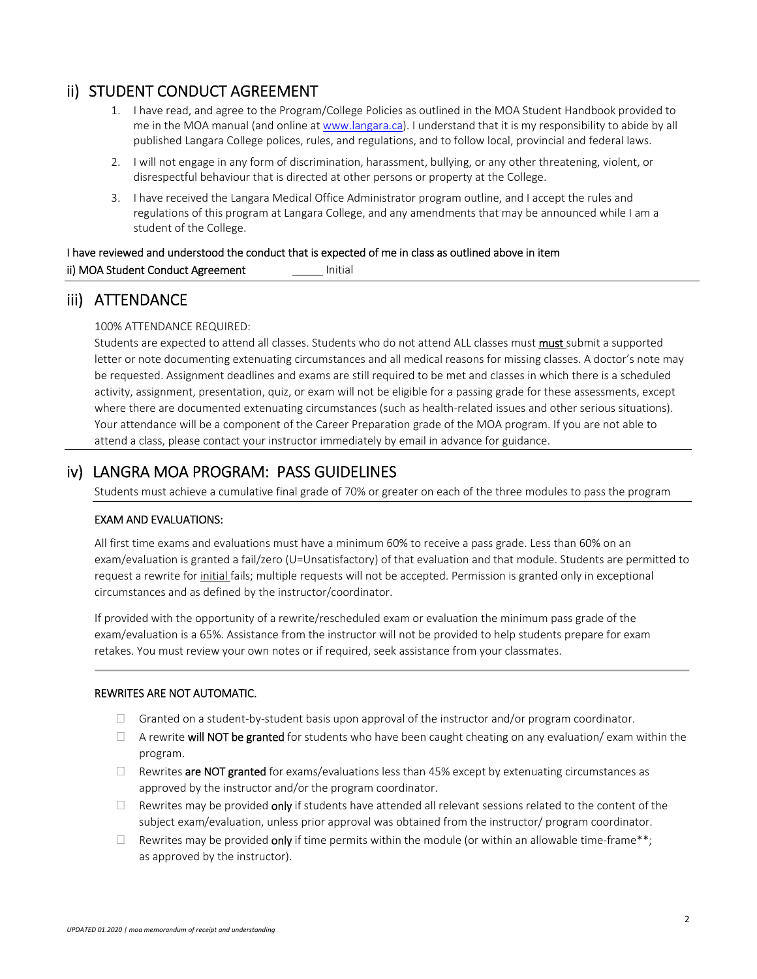# ii) STUDENT CONDUCT AGREEMENT

- 1. I have read, and agree to the Program/College Policies as outlined in the MOA Student Handbook provided to me in the MOA manual (and online at www.langara.ca). I understand that it is my responsibility to abide by all published Langara College polices, rules, and regulations, and to follow local, provincial and federal laws.
- 2. I will not engage in any form of discrimination, harassment, bullying, or any other threatening, violent, or disrespectful behaviour that is directed at other persons or property at the College.
- 3. I have received the Langara Medical Office Administrator program outline, and I accept the rules and regulations of this program at Langara College, and any amendments that may be announced while I am a student of the College.

# I have reviewed and understood the conduct that is expected of me in class as outlined above in item ii) MOA Student Conduct Agreement \_\_\_\_\_ Initial

# iii) ATTENDANCE

100% ATTENDANCE REQUIRED:

Students are expected to attend all classes. Students who do not attend ALL classes must must submit a supported letter or note documenting extenuating circumstances and all medical reasons for missing classes. A doctor's note may be requested. Assignment deadlines and exams are still required to be met and classes in which there is a scheduled activity, assignment, presentation, quiz, or exam will not be eligible for a passing grade for these assessments, except where there are documented extenuating circumstances (such as health-related issues and other serious situations). Your attendance will be a component of the Career Preparation grade of the MOA program. If you are not able to attend a class, please contact your instructor immediately by email in advance for guidance.

# iv) LANGRA MOA PROGRAM: PASS GUIDELINES

Students must achieve a cumulative final grade of 70% or greater on each of the three modules to pass the program

### EXAM AND EVALUATIONS:

All first time exams and evaluations must have a minimum 60% to receive a pass grade. Less than 60% on an exam/evaluation is granted a fail/zero (U=Unsatisfactory) of that evaluation and that module. Students are permitted to request a rewrite for initial fails; multiple requests will not be accepted. Permission is granted only in exceptional circumstances and as defined by the instructor/coordinator.

If provided with the opportunity of a rewrite/rescheduled exam or evaluation the minimum pass grade of the exam/evaluation is a 65%. Assistance from the instructor will not be provided to help students prepare for exam retakes. You must review your own notes or if required, seek assistance from your classmates.

### REWRITES ARE NOT AUTOMATIC.

- $\Box$  Granted on a student-by-student basis upon approval of the instructor and/or program coordinator.
- $\Box$  A rewrite will NOT be granted for students who have been caught cheating on any evaluation/ exam within the program.
- $\Box$  Rewrites are NOT granted for exams/evaluations less than 45% except by extenuating circumstances as approved by the instructor and/or the program coordinator.
- $\Box$  Rewrites may be provided only if students have attended all relevant sessions related to the content of the subject exam/evaluation, unless prior approval was obtained from the instructor/ program coordinator.
- $□$  Rewrites may be provided only if time permits within the module (or within an allowable time-frame\*\*; as approved by the instructor).